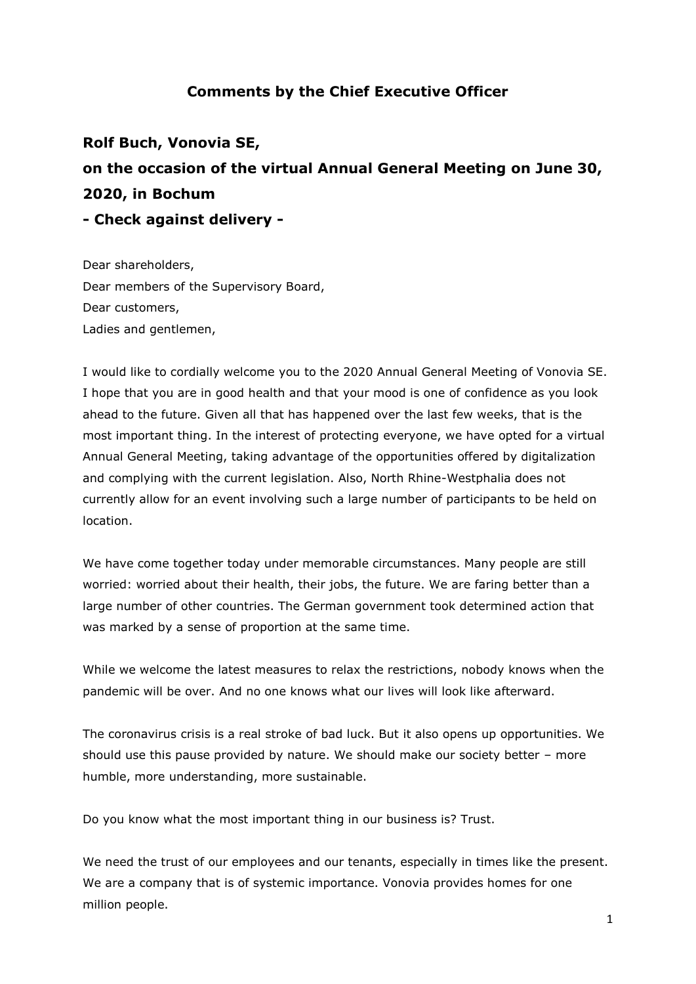## **Comments by the Chief Executive Officer**

**Rolf Buch, Vonovia SE, on the occasion of the virtual Annual General Meeting on June 30, 2020, in Bochum - Check against delivery -**

Dear shareholders, Dear members of the Supervisory Board, Dear customers, Ladies and gentlemen,

I would like to cordially welcome you to the 2020 Annual General Meeting of Vonovia SE. I hope that you are in good health and that your mood is one of confidence as you look ahead to the future. Given all that has happened over the last few weeks, that is the most important thing. In the interest of protecting everyone, we have opted for a virtual Annual General Meeting, taking advantage of the opportunities offered by digitalization and complying with the current legislation. Also, North Rhine-Westphalia does not currently allow for an event involving such a large number of participants to be held on location.

We have come together today under memorable circumstances. Many people are still worried: worried about their health, their jobs, the future. We are faring better than a large number of other countries. The German government took determined action that was marked by a sense of proportion at the same time.

While we welcome the latest measures to relax the restrictions, nobody knows when the pandemic will be over. And no one knows what our lives will look like afterward.

The coronavirus crisis is a real stroke of bad luck. But it also opens up opportunities. We should use this pause provided by nature. We should make our society better – more humble, more understanding, more sustainable.

Do you know what the most important thing in our business is? Trust.

We need the trust of our employees and our tenants, especially in times like the present. We are a company that is of systemic importance. Vonovia provides homes for one million people.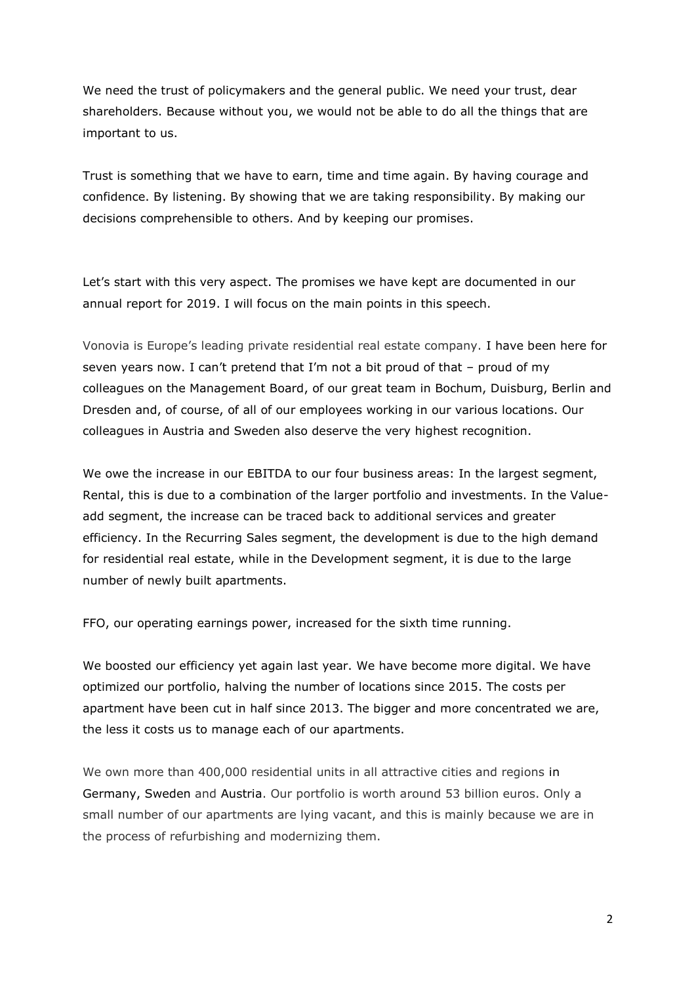We need the trust of policymakers and the general public. We need your trust, dear shareholders. Because without you, we would not be able to do all the things that are important to us.

Trust is something that we have to earn, time and time again. By having courage and confidence. By listening. By showing that we are taking responsibility. By making our decisions comprehensible to others. And by keeping our promises.

Let's start with this very aspect. The promises we have kept are documented in our annual report for 2019. I will focus on the main points in this speech.

Vonovia is Europe's leading private residential real estate company. I have been here for seven years now. I can't pretend that I'm not a bit proud of that – proud of my colleagues on the Management Board, of our great team in Bochum, Duisburg, Berlin and Dresden and, of course, of all of our employees working in our various locations. Our colleagues in Austria and Sweden also deserve the very highest recognition.

We owe the increase in our EBITDA to our four business areas: In the largest segment, Rental, this is due to a combination of the larger portfolio and investments. In the Valueadd segment, the increase can be traced back to additional services and greater efficiency. In the Recurring Sales segment, the development is due to the high demand for residential real estate, while in the Development segment, it is due to the large number of newly built apartments.

FFO, our operating earnings power, increased for the sixth time running.

We boosted our efficiency yet again last year. We have become more digital. We have optimized our portfolio, halving the number of locations since 2015. The costs per apartment have been cut in half since 2013. The bigger and more concentrated we are, the less it costs us to manage each of our apartments.

We own more than 400,000 residential units in all attractive cities and regions in Germany, Sweden and Austria. Our portfolio is worth around 53 billion euros. Only a small number of our apartments are lying vacant, and this is mainly because we are in the process of refurbishing and modernizing them.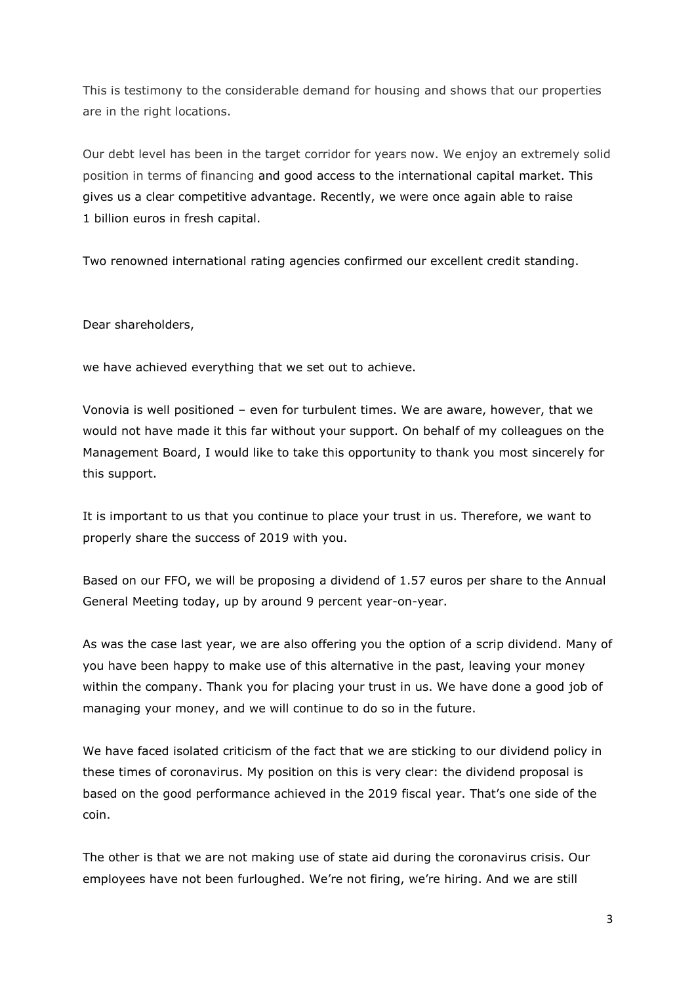This is testimony to the considerable demand for housing and shows that our properties are in the right locations.

Our debt level has been in the target corridor for years now. We enjoy an extremely solid position in terms of financing and good access to the international capital market. This gives us a clear competitive advantage. Recently, we were once again able to raise 1 billion euros in fresh capital.

Two renowned international rating agencies confirmed our excellent credit standing.

Dear shareholders,

we have achieved everything that we set out to achieve.

Vonovia is well positioned – even for turbulent times. We are aware, however, that we would not have made it this far without your support. On behalf of my colleagues on the Management Board, I would like to take this opportunity to thank you most sincerely for this support.

It is important to us that you continue to place your trust in us. Therefore, we want to properly share the success of 2019 with you.

Based on our FFO, we will be proposing a dividend of 1.57 euros per share to the Annual General Meeting today, up by around 9 percent year-on-year.

As was the case last year, we are also offering you the option of a scrip dividend. Many of you have been happy to make use of this alternative in the past, leaving your money within the company. Thank you for placing your trust in us. We have done a good job of managing your money, and we will continue to do so in the future.

We have faced isolated criticism of the fact that we are sticking to our dividend policy in these times of coronavirus. My position on this is very clear: the dividend proposal is based on the good performance achieved in the 2019 fiscal year. That's one side of the coin.

The other is that we are not making use of state aid during the coronavirus crisis. Our employees have not been furloughed. We're not firing, we're hiring. And we are still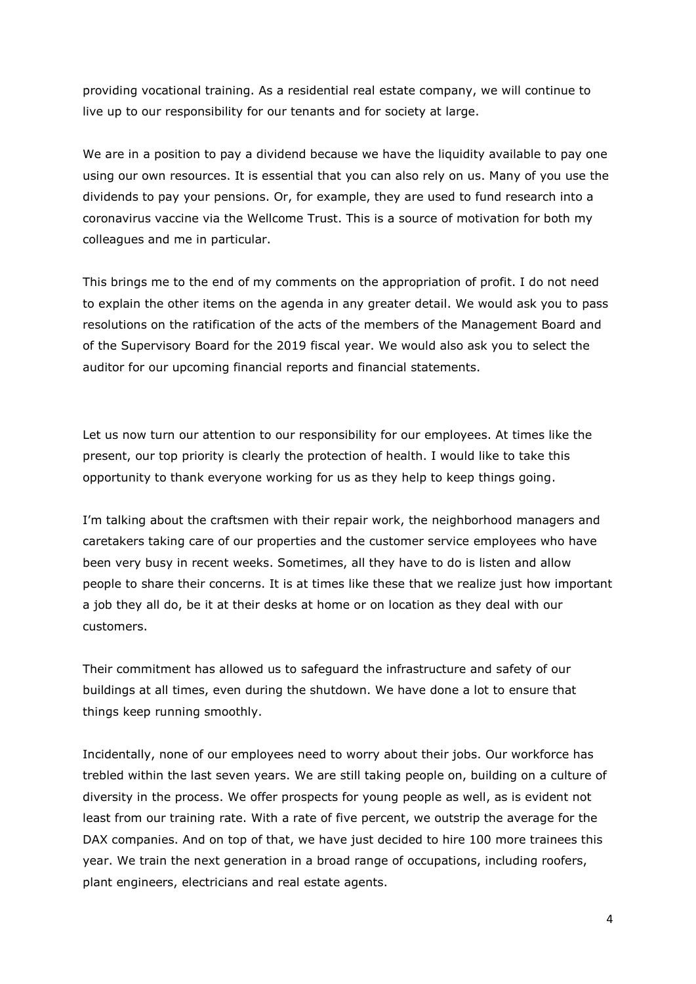providing vocational training. As a residential real estate company, we will continue to live up to our responsibility for our tenants and for society at large.

We are in a position to pay a dividend because we have the liquidity available to pay one using our own resources. It is essential that you can also rely on us. Many of you use the dividends to pay your pensions. Or, for example, they are used to fund research into a coronavirus vaccine via the Wellcome Trust. This is a source of motivation for both my colleagues and me in particular.

This brings me to the end of my comments on the appropriation of profit. I do not need to explain the other items on the agenda in any greater detail. We would ask you to pass resolutions on the ratification of the acts of the members of the Management Board and of the Supervisory Board for the 2019 fiscal year. We would also ask you to select the auditor for our upcoming financial reports and financial statements.

Let us now turn our attention to our responsibility for our employees. At times like the present, our top priority is clearly the protection of health. I would like to take this opportunity to thank everyone working for us as they help to keep things going.

I'm talking about the craftsmen with their repair work, the neighborhood managers and caretakers taking care of our properties and the customer service employees who have been very busy in recent weeks. Sometimes, all they have to do is listen and allow people to share their concerns. It is at times like these that we realize just how important a job they all do, be it at their desks at home or on location as they deal with our customers.

Their commitment has allowed us to safeguard the infrastructure and safety of our buildings at all times, even during the shutdown. We have done a lot to ensure that things keep running smoothly.

Incidentally, none of our employees need to worry about their jobs. Our workforce has trebled within the last seven years. We are still taking people on, building on a culture of diversity in the process. We offer prospects for young people as well, as is evident not least from our training rate. With a rate of five percent, we outstrip the average for the DAX companies. And on top of that, we have just decided to hire 100 more trainees this year. We train the next generation in a broad range of occupations, including roofers, plant engineers, electricians and real estate agents.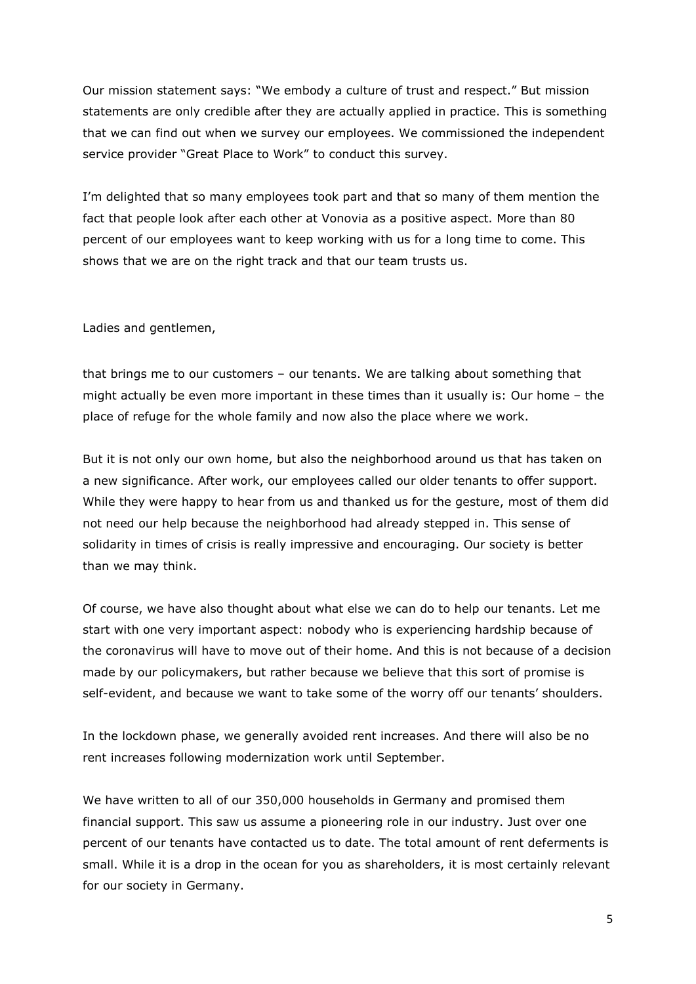Our mission statement says: "We embody a culture of trust and respect." But mission statements are only credible after they are actually applied in practice. This is something that we can find out when we survey our employees. We commissioned the independent service provider "Great Place to Work" to conduct this survey.

I'm delighted that so many employees took part and that so many of them mention the fact that people look after each other at Vonovia as a positive aspect. More than 80 percent of our employees want to keep working with us for a long time to come. This shows that we are on the right track and that our team trusts us.

Ladies and gentlemen,

that brings me to our customers – our tenants. We are talking about something that might actually be even more important in these times than it usually is: Our home – the place of refuge for the whole family and now also the place where we work.

But it is not only our own home, but also the neighborhood around us that has taken on a new significance. After work, our employees called our older tenants to offer support. While they were happy to hear from us and thanked us for the gesture, most of them did not need our help because the neighborhood had already stepped in. This sense of solidarity in times of crisis is really impressive and encouraging. Our society is better than we may think.

Of course, we have also thought about what else we can do to help our tenants. Let me start with one very important aspect: nobody who is experiencing hardship because of the coronavirus will have to move out of their home. And this is not because of a decision made by our policymakers, but rather because we believe that this sort of promise is self-evident, and because we want to take some of the worry off our tenants' shoulders.

In the lockdown phase, we generally avoided rent increases. And there will also be no rent increases following modernization work until September.

We have written to all of our 350,000 households in Germany and promised them financial support. This saw us assume a pioneering role in our industry. Just over one percent of our tenants have contacted us to date. The total amount of rent deferments is small. While it is a drop in the ocean for you as shareholders, it is most certainly relevant for our society in Germany.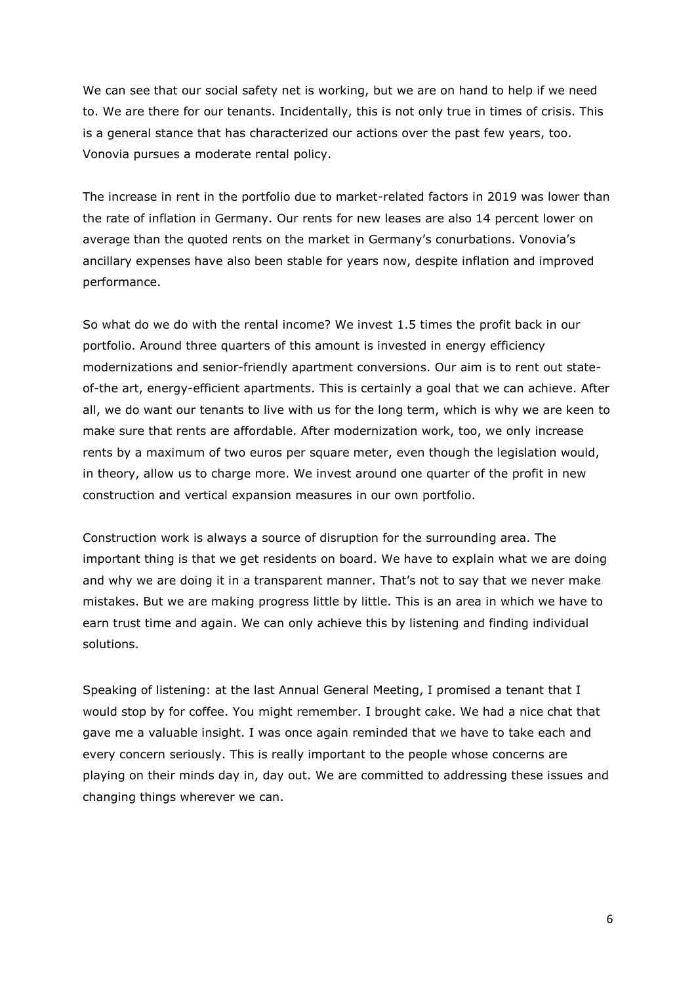We can see that our social safety net is working, but we are on hand to help if we need to. We are there for our tenants. Incidentally, this is not only true in times of crisis. This is a general stance that has characterized our actions over the past few years, too. Vonovia pursues a moderate rental policy.

The increase in rent in the portfolio due to market-related factors in 2019 was lower than the rate of inflation in Germany. Our rents for new leases are also 14 percent lower on average than the quoted rents on the market in Germany's conurbations. Vonovia's ancillary expenses have also been stable for years now, despite inflation and improved performance.

So what do we do with the rental income? We invest 1.5 times the profit back in our portfolio. Around three quarters of this amount is invested in energy efficiency modernizations and senior-friendly apartment conversions. Our aim is to rent out stateof-the art, energy-efficient apartments. This is certainly a goal that we can achieve. After all, we do want our tenants to live with us for the long term, which is why we are keen to make sure that rents are affordable. After modernization work, too, we only increase rents by a maximum of two euros per square meter, even though the legislation would, in theory, allow us to charge more. We invest around one quarter of the profit in new construction and vertical expansion measures in our own portfolio.

Construction work is always a source of disruption for the surrounding area. The important thing is that we get residents on board. We have to explain what we are doing and why we are doing it in a transparent manner. That's not to say that we never make mistakes. But we are making progress little by little. This is an area in which we have to earn trust time and again. We can only achieve this by listening and finding individual solutions.

Speaking of listening: at the last Annual General Meeting, I promised a tenant that I would stop by for coffee. You might remember. I brought cake. We had a nice chat that gave me a valuable insight. I was once again reminded that we have to take each and every concern seriously. This is really important to the people whose concerns are playing on their minds day in, day out. We are committed to addressing these issues and changing things wherever we can.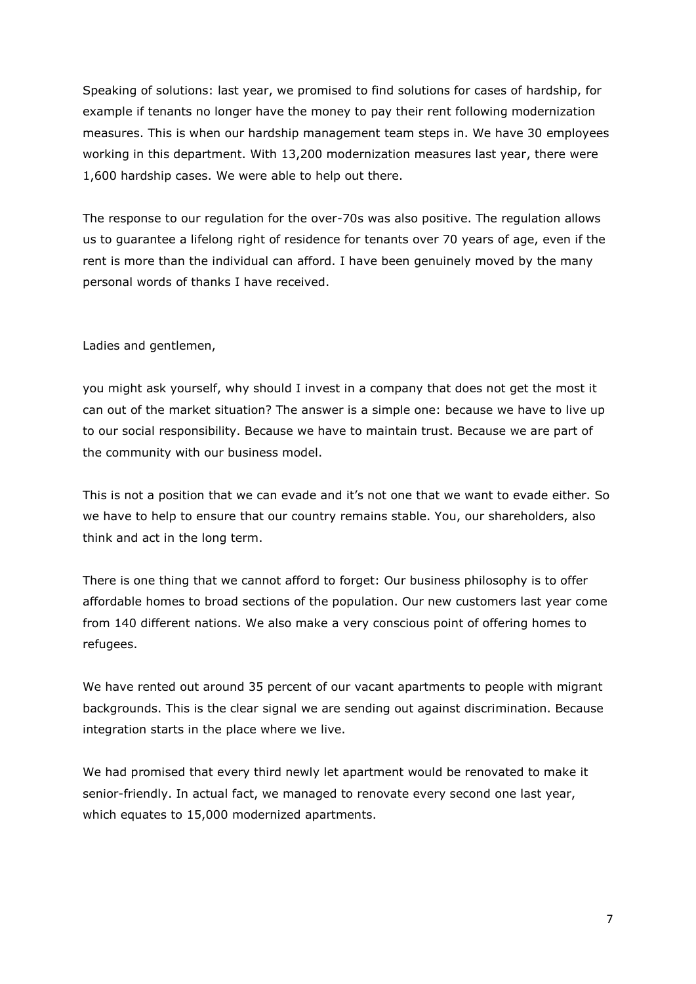Speaking of solutions: last year, we promised to find solutions for cases of hardship, for example if tenants no longer have the money to pay their rent following modernization measures. This is when our hardship management team steps in. We have 30 employees working in this department. With 13,200 modernization measures last year, there were 1,600 hardship cases. We were able to help out there.

The response to our regulation for the over-70s was also positive. The regulation allows us to guarantee a lifelong right of residence for tenants over 70 years of age, even if the rent is more than the individual can afford. I have been genuinely moved by the many personal words of thanks I have received.

## Ladies and gentlemen,

you might ask yourself, why should I invest in a company that does not get the most it can out of the market situation? The answer is a simple one: because we have to live up to our social responsibility. Because we have to maintain trust. Because we are part of the community with our business model.

This is not a position that we can evade and it's not one that we want to evade either. So we have to help to ensure that our country remains stable. You, our shareholders, also think and act in the long term.

There is one thing that we cannot afford to forget: Our business philosophy is to offer affordable homes to broad sections of the population. Our new customers last year come from 140 different nations. We also make a very conscious point of offering homes to refugees.

We have rented out around 35 percent of our vacant apartments to people with migrant backgrounds. This is the clear signal we are sending out against discrimination. Because integration starts in the place where we live.

We had promised that every third newly let apartment would be renovated to make it senior-friendly. In actual fact, we managed to renovate every second one last year, which equates to 15,000 modernized apartments.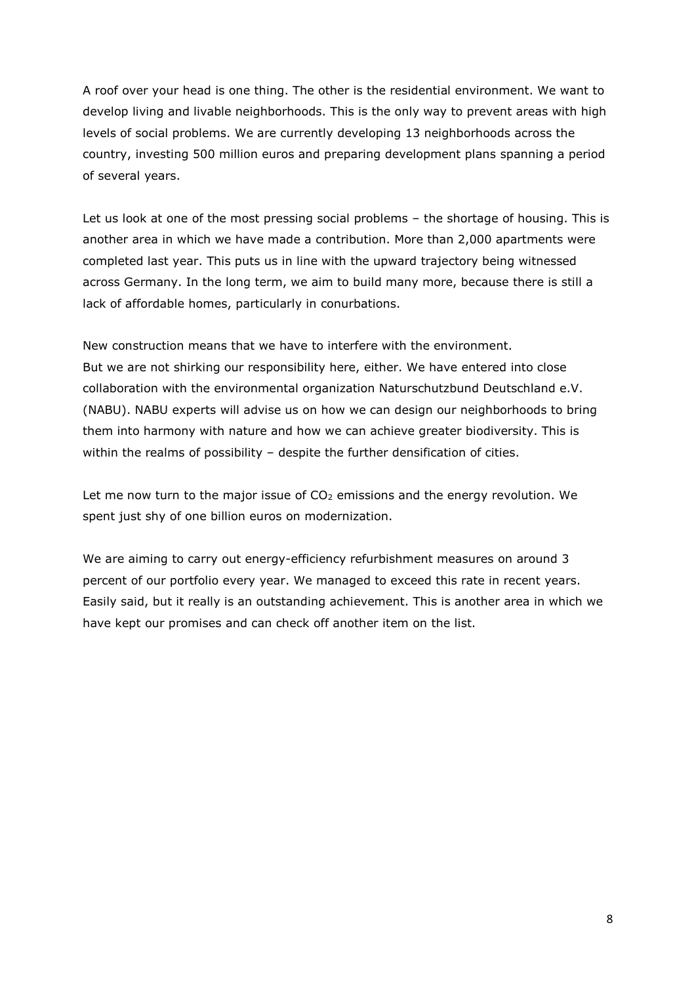A roof over your head is one thing. The other is the residential environment. We want to develop living and livable neighborhoods. This is the only way to prevent areas with high levels of social problems. We are currently developing 13 neighborhoods across the country, investing 500 million euros and preparing development plans spanning a period of several years.

Let us look at one of the most pressing social problems – the shortage of housing. This is another area in which we have made a contribution. More than 2,000 apartments were completed last year. This puts us in line with the upward trajectory being witnessed across Germany. In the long term, we aim to build many more, because there is still a lack of affordable homes, particularly in conurbations.

New construction means that we have to interfere with the environment. But we are not shirking our responsibility here, either. We have entered into close collaboration with the environmental organization Naturschutzbund Deutschland e.V. (NABU). NABU experts will advise us on how we can design our neighborhoods to bring them into harmony with nature and how we can achieve greater biodiversity. This is within the realms of possibility – despite the further densification of cities.

Let me now turn to the major issue of  $CO<sub>2</sub>$  emissions and the energy revolution. We spent just shy of one billion euros on modernization.

We are aiming to carry out energy-efficiency refurbishment measures on around 3 percent of our portfolio every year. We managed to exceed this rate in recent years. Easily said, but it really is an outstanding achievement. This is another area in which we have kept our promises and can check off another item on the list.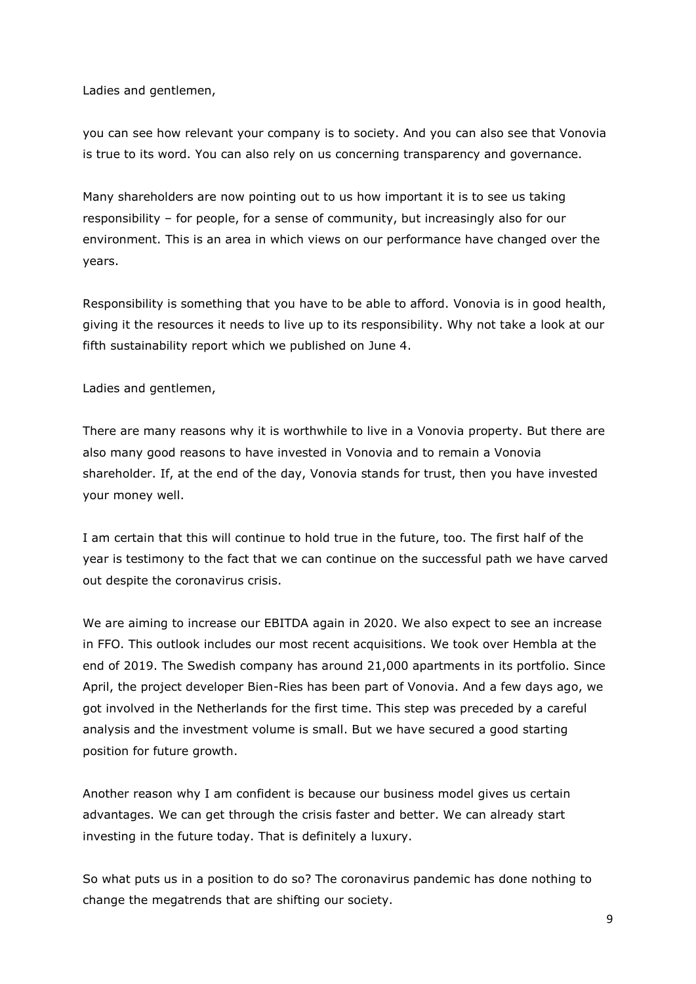Ladies and gentlemen,

you can see how relevant your company is to society. And you can also see that Vonovia is true to its word. You can also rely on us concerning transparency and governance.

Many shareholders are now pointing out to us how important it is to see us taking responsibility – for people, for a sense of community, but increasingly also for our environment. This is an area in which views on our performance have changed over the years.

Responsibility is something that you have to be able to afford. Vonovia is in good health, giving it the resources it needs to live up to its responsibility. Why not take a look at our fifth sustainability report which we published on June 4.

Ladies and gentlemen,

There are many reasons why it is worthwhile to live in a Vonovia property. But there are also many good reasons to have invested in Vonovia and to remain a Vonovia shareholder. If, at the end of the day, Vonovia stands for trust, then you have invested your money well.

I am certain that this will continue to hold true in the future, too. The first half of the year is testimony to the fact that we can continue on the successful path we have carved out despite the coronavirus crisis.

We are aiming to increase our EBITDA again in 2020. We also expect to see an increase in FFO. This outlook includes our most recent acquisitions. We took over Hembla at the end of 2019. The Swedish company has around 21,000 apartments in its portfolio. Since April, the project developer Bien-Ries has been part of Vonovia. And a few days ago, we got involved in the Netherlands for the first time. This step was preceded by a careful analysis and the investment volume is small. But we have secured a good starting position for future growth.

Another reason why I am confident is because our business model gives us certain advantages. We can get through the crisis faster and better. We can already start investing in the future today. That is definitely a luxury.

So what puts us in a position to do so? The coronavirus pandemic has done nothing to change the megatrends that are shifting our society.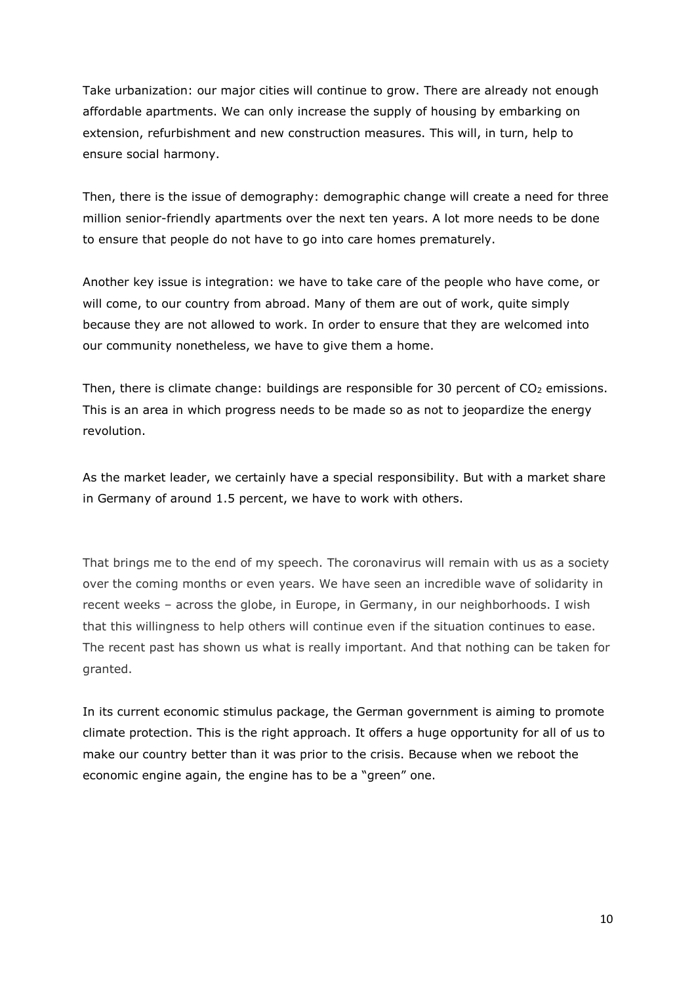Take urbanization: our major cities will continue to grow. There are already not enough affordable apartments. We can only increase the supply of housing by embarking on extension, refurbishment and new construction measures. This will, in turn, help to ensure social harmony.

Then, there is the issue of demography: demographic change will create a need for three million senior-friendly apartments over the next ten years. A lot more needs to be done to ensure that people do not have to go into care homes prematurely.

Another key issue is integration: we have to take care of the people who have come, or will come, to our country from abroad. Many of them are out of work, quite simply because they are not allowed to work. In order to ensure that they are welcomed into our community nonetheless, we have to give them a home.

Then, there is climate change: buildings are responsible for 30 percent of  $CO<sub>2</sub>$  emissions. This is an area in which progress needs to be made so as not to jeopardize the energy revolution.

As the market leader, we certainly have a special responsibility. But with a market share in Germany of around 1.5 percent, we have to work with others.

That brings me to the end of my speech. The coronavirus will remain with us as a society over the coming months or even years. We have seen an incredible wave of solidarity in recent weeks – across the globe, in Europe, in Germany, in our neighborhoods. I wish that this willingness to help others will continue even if the situation continues to ease. The recent past has shown us what is really important. And that nothing can be taken for granted.

In its current economic stimulus package, the German government is aiming to promote climate protection. This is the right approach. It offers a huge opportunity for all of us to make our country better than it was prior to the crisis. Because when we reboot the economic engine again, the engine has to be a "green" one.